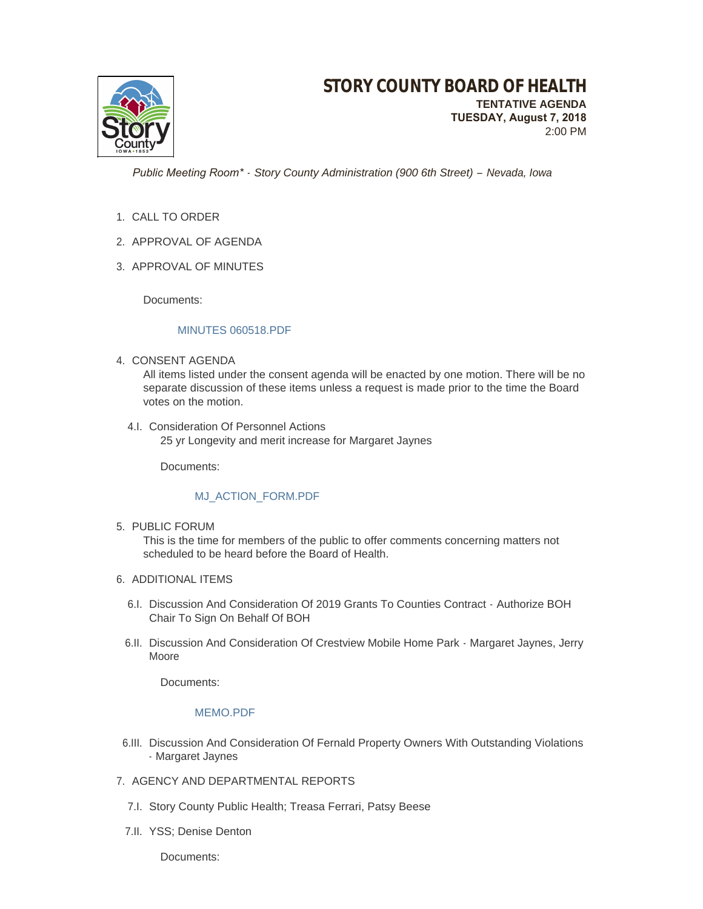

 *Public Meeting Room\* - Story County Administration (900 6th Street) – Nevada, Iowa*

- 1. CALL TO ORDER
- 2. APPROVAL OF AGENDA
- 3. APPROVAL OF MINUTES

Documents:

### [MINUTES 060518.PDF](http://www.storycountyiowa.gov/AgendaCenter/ViewFile/Item/12481?fileID=9475)

4. CONSENT AGENDA

All items listed under the consent agenda will be enacted by one motion. There will be no separate discussion of these items unless a request is made prior to the time the Board votes on the motion.

4.I. Consideration Of Personnel Actions 25 yr Longevity and merit increase for Margaret Jaynes

Documents:

## [MJ\\_ACTION\\_FORM.PDF](http://www.storycountyiowa.gov/AgendaCenter/ViewFile/Item/12487?fileID=9483)

5. PUBLIC FORUM

This is the time for members of the public to offer comments concerning matters not scheduled to be heard before the Board of Health.

- 6. ADDITIONAL ITEMS
	- 6.I. Discussion And Consideration Of 2019 Grants To Counties Contract Authorize BOH Chair To Sign On Behalf Of BOH
	- 6.II. Discussion And Consideration Of Crestview Mobile Home Park Margaret Jaynes, Jerry Moore

Documents:

#### [MEMO.PDF](http://www.storycountyiowa.gov/AgendaCenter/ViewFile/Item/12482?fileID=9485)

- 6.III. Discussion And Consideration Of Fernald Property Owners With Outstanding Violations - Margaret Jaynes
- 7. AGENCY AND DEPARTMENTAL REPORTS
	- 7.I. Story County Public Health; Treasa Ferrari, Patsy Beese
	- 7.II. YSS; Denise Denton

Documents: